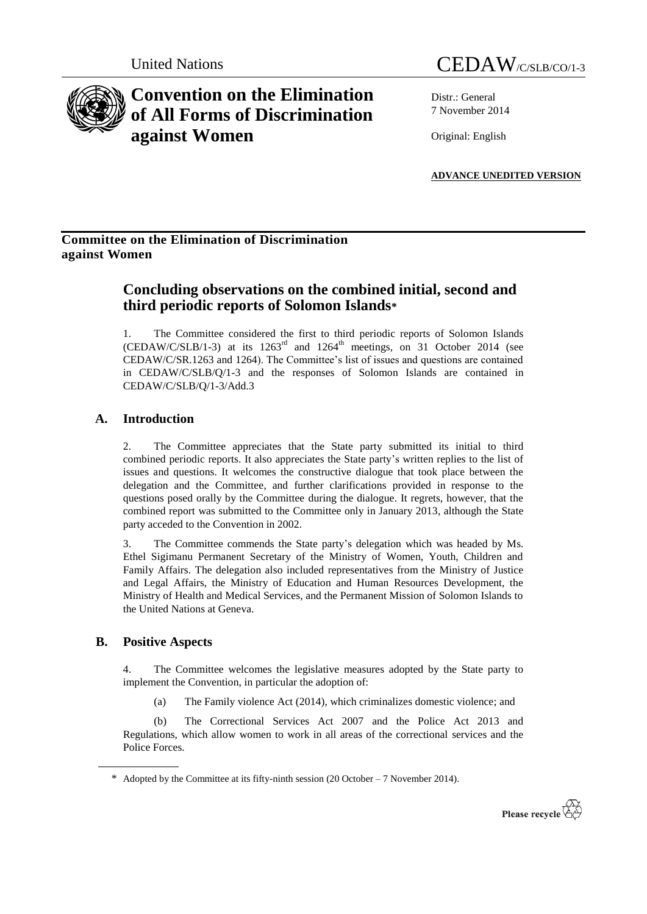

United Nations CEDAW/C/SLB/CO/1-3

Distr.: General 7 November 2014

Original: English

**ADVANCE UNEDITED VERSION**

## **Committee on the Elimination of Discrimination against Women**

# **Concluding observations on the combined initial, second and third periodic reports of Solomon Islands\***

1. The Committee considered the first to third periodic reports of Solomon Islands (CEDAW/C/SLB/1-3) at its  $1263<sup>rd</sup>$  and  $1264<sup>th</sup>$  meetings, on 31 October 2014 (see CEDAW/C/SR.1263 and 1264). The Committee's list of issues and questions are contained in CEDAW/C/SLB/Q/1-3 and the responses of Solomon Islands are contained in CEDAW/C/SLB/Q/1-3/Add.3

## **A. Introduction**

2. The Committee appreciates that the State party submitted its initial to third combined periodic reports. It also appreciates the State party's written replies to the list of issues and questions. It welcomes the constructive dialogue that took place between the delegation and the Committee, and further clarifications provided in response to the questions posed orally by the Committee during the dialogue. It regrets, however, that the combined report was submitted to the Committee only in January 2013, although the State party acceded to the Convention in 2002.

3. The Committee commends the State party's delegation which was headed by Ms. Ethel Sigimanu Permanent Secretary of the Ministry of Women, Youth, Children and Family Affairs. The delegation also included representatives from the Ministry of Justice and Legal Affairs, the Ministry of Education and Human Resources Development, the Ministry of Health and Medical Services, and the Permanent Mission of Solomon Islands to the United Nations at Geneva.

## **B. Positive Aspects**

4. The Committee welcomes the legislative measures adopted by the State party to implement the Convention, in particular the adoption of:

(a) The Family violence Act (2014), which criminalizes domestic violence; and

(b) The Correctional Services Act 2007 and the Police Act 2013 and Regulations, which allow women to work in all areas of the correctional services and the Police Forces.

<sup>\*</sup> Adopted by the Committee at its fifty-ninth session (20 October – 7 November 2014).

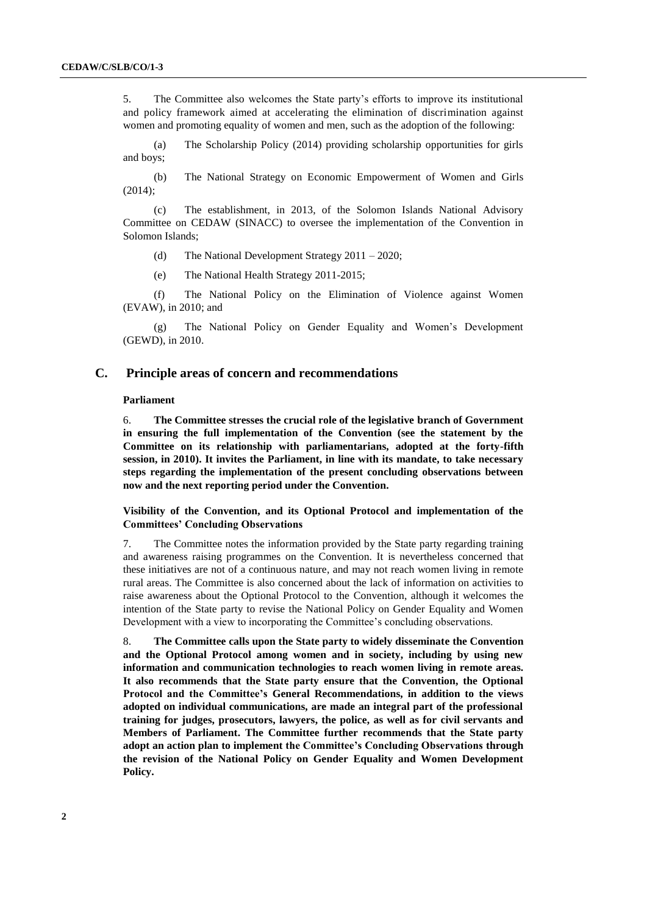5. The Committee also welcomes the State party's efforts to improve its institutional and policy framework aimed at accelerating the elimination of discrimination against women and promoting equality of women and men, such as the adoption of the following:

(a) The Scholarship Policy (2014) providing scholarship opportunities for girls and boys;

(b) The National Strategy on Economic Empowerment of Women and Girls (2014);

(c) The establishment, in 2013, of the Solomon Islands National Advisory Committee on CEDAW (SINACC) to oversee the implementation of the Convention in Solomon Islands;

(d) The National Development Strategy 2011 – 2020;

(e) The National Health Strategy 2011-2015;

(f) The National Policy on the Elimination of Violence against Women (EVAW), in 2010; and

(g) The National Policy on Gender Equality and Women's Development (GEWD), in 2010.

## **C. Principle areas of concern and recommendations**

### **Parliament**

6. **The Committee stresses the crucial role of the legislative branch of Government in ensuring the full implementation of the Convention (see the statement by the Committee on its relationship with parliamentarians, adopted at the forty-fifth session, in 2010). It invites the Parliament, in line with its mandate, to take necessary steps regarding the implementation of the present concluding observations between now and the next reporting period under the Convention.**

### **Visibility of the Convention, and its Optional Protocol and implementation of the Committees' Concluding Observations**

7. The Committee notes the information provided by the State party regarding training and awareness raising programmes on the Convention. It is nevertheless concerned that these initiatives are not of a continuous nature, and may not reach women living in remote rural areas. The Committee is also concerned about the lack of information on activities to raise awareness about the Optional Protocol to the Convention, although it welcomes the intention of the State party to revise the National Policy on Gender Equality and Women Development with a view to incorporating the Committee's concluding observations.

8. **The Committee calls upon the State party to widely disseminate the Convention and the Optional Protocol among women and in society, including by using new information and communication technologies to reach women living in remote areas. It also recommends that the State party ensure that the Convention, the Optional Protocol and the Committee's General Recommendations, in addition to the views adopted on individual communications, are made an integral part of the professional training for judges, prosecutors, lawyers, the police, as well as for civil servants and Members of Parliament. The Committee further recommends that the State party adopt an action plan to implement the Committee's Concluding Observations through the revision of the National Policy on Gender Equality and Women Development Policy.**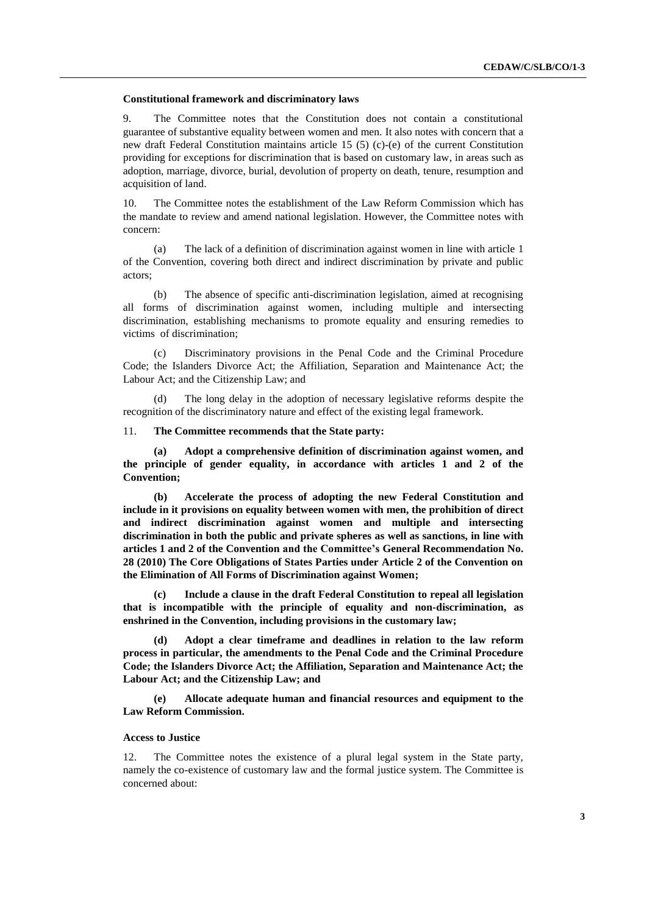#### **Constitutional framework and discriminatory laws**

9. The Committee notes that the Constitution does not contain a constitutional guarantee of substantive equality between women and men. It also notes with concern that a new draft Federal Constitution maintains article 15 (5) (c)-(e) of the current Constitution providing for exceptions for discrimination that is based on customary law, in areas such as adoption, marriage, divorce, burial, devolution of property on death, tenure, resumption and acquisition of land.

10. The Committee notes the establishment of the Law Reform Commission which has the mandate to review and amend national legislation. However, the Committee notes with concern:

(a) The lack of a definition of discrimination against women in line with article 1 of the Convention, covering both direct and indirect discrimination by private and public actors;

(b) The absence of specific anti-discrimination legislation, aimed at recognising all forms of discrimination against women, including multiple and intersecting discrimination, establishing mechanisms to promote equality and ensuring remedies to victims of discrimination;

Discriminatory provisions in the Penal Code and the Criminal Procedure Code; the Islanders Divorce Act; the Affiliation, Separation and Maintenance Act; the Labour Act; and the Citizenship Law; and

(d) The long delay in the adoption of necessary legislative reforms despite the recognition of the discriminatory nature and effect of the existing legal framework.

#### 11. **The Committee recommends that the State party:**

**(a) Adopt a comprehensive definition of discrimination against women, and the principle of gender equality, in accordance with articles 1 and 2 of the Convention;**

**(b) Accelerate the process of adopting the new Federal Constitution and include in it provisions on equality between women with men, the prohibition of direct and indirect discrimination against women and multiple and intersecting discrimination in both the public and private spheres as well as sanctions, in line with articles 1 and 2 of the Convention and the Committee's General Recommendation No. 28 (2010) The Core Obligations of States Parties under Article 2 of the Convention on the Elimination of All Forms of Discrimination against Women;**

**(c) Include a clause in the draft Federal Constitution to repeal all legislation that is incompatible with the principle of equality and non-discrimination, as enshrined in the Convention, including provisions in the customary law;**

**(d) Adopt a clear timeframe and deadlines in relation to the law reform process in particular, the amendments to the Penal Code and the Criminal Procedure Code; the Islanders Divorce Act; the Affiliation, Separation and Maintenance Act; the Labour Act; and the Citizenship Law; and**

**(e) Allocate adequate human and financial resources and equipment to the Law Reform Commission.**

#### **Access to Justice**

12. The Committee notes the existence of a plural legal system in the State party, namely the co-existence of customary law and the formal justice system. The Committee is concerned about: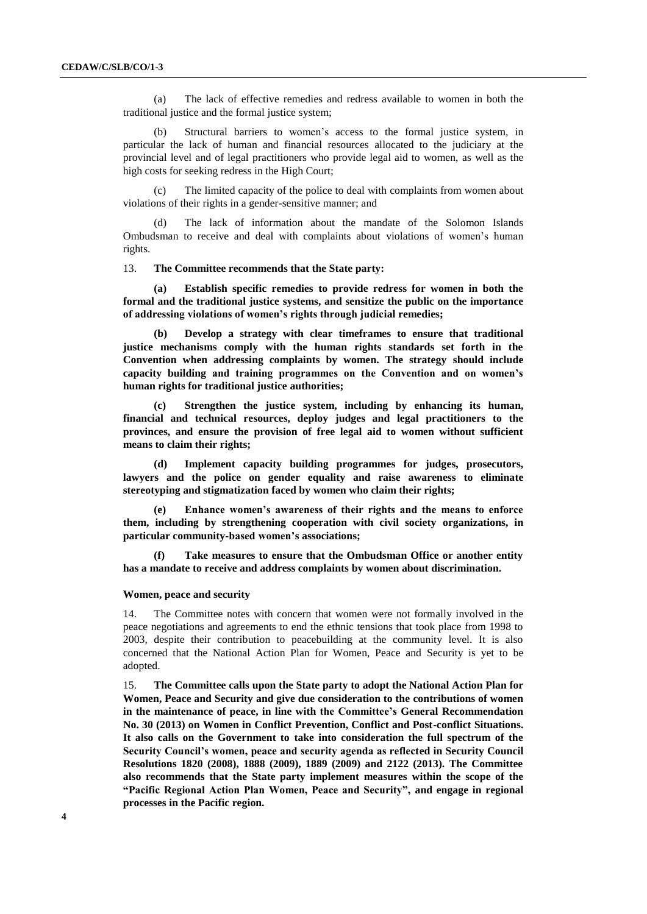(a) The lack of effective remedies and redress available to women in both the traditional justice and the formal justice system;

(b) Structural barriers to women's access to the formal justice system, in particular the lack of human and financial resources allocated to the judiciary at the provincial level and of legal practitioners who provide legal aid to women, as well as the high costs for seeking redress in the High Court;

(c) The limited capacity of the police to deal with complaints from women about violations of their rights in a gender-sensitive manner; and

(d) The lack of information about the mandate of the Solomon Islands Ombudsman to receive and deal with complaints about violations of women's human rights.

13. **The Committee recommends that the State party:**

**(a) Establish specific remedies to provide redress for women in both the formal and the traditional justice systems, and sensitize the public on the importance of addressing violations of women's rights through judicial remedies;**

**(b) Develop a strategy with clear timeframes to ensure that traditional justice mechanisms comply with the human rights standards set forth in the Convention when addressing complaints by women. The strategy should include capacity building and training programmes on the Convention and on women's human rights for traditional justice authorities;** 

**(c) Strengthen the justice system, including by enhancing its human, financial and technical resources, deploy judges and legal practitioners to the provinces, and ensure the provision of free legal aid to women without sufficient means to claim their rights;**

**(d) Implement capacity building programmes for judges, prosecutors, lawyers and the police on gender equality and raise awareness to eliminate stereotyping and stigmatization faced by women who claim their rights;**

**(e) Enhance women's awareness of their rights and the means to enforce them, including by strengthening cooperation with civil society organizations, in particular community-based women's associations;**

**(f) Take measures to ensure that the Ombudsman Office or another entity has a mandate to receive and address complaints by women about discrimination.** 

#### **Women, peace and security**

14. The Committee notes with concern that women were not formally involved in the peace negotiations and agreements to end the ethnic tensions that took place from 1998 to 2003, despite their contribution to peacebuilding at the community level. It is also concerned that the National Action Plan for Women, Peace and Security is yet to be adopted.

15. **The Committee calls upon the State party to adopt the National Action Plan for Women, Peace and Security and give due consideration to the contributions of women in the maintenance of peace, in line with the Committee's General Recommendation No. 30 (2013) on Women in Conflict Prevention, Conflict and Post-conflict Situations. It also calls on the Government to take into consideration the full spectrum of the Security Council's women, peace and security agenda as reflected in Security Council Resolutions 1820 (2008), 1888 (2009), 1889 (2009) and 2122 (2013). The Committee also recommends that the State party implement measures within the scope of the "Pacific Regional Action Plan Women, Peace and Security", and engage in regional processes in the Pacific region.**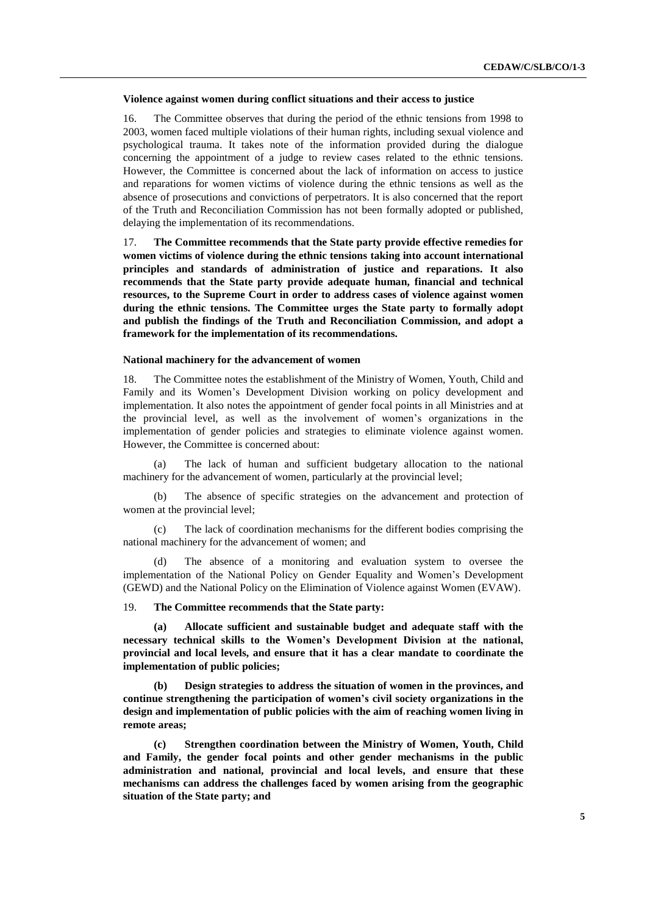#### **Violence against women during conflict situations and their access to justice**

16. The Committee observes that during the period of the ethnic tensions from 1998 to 2003, women faced multiple violations of their human rights, including sexual violence and psychological trauma. It takes note of the information provided during the dialogue concerning the appointment of a judge to review cases related to the ethnic tensions. However, the Committee is concerned about the lack of information on access to justice and reparations for women victims of violence during the ethnic tensions as well as the absence of prosecutions and convictions of perpetrators. It is also concerned that the report of the Truth and Reconciliation Commission has not been formally adopted or published, delaying the implementation of its recommendations.

17. **The Committee recommends that the State party provide effective remedies for women victims of violence during the ethnic tensions taking into account international principles and standards of administration of justice and reparations. It also recommends that the State party provide adequate human, financial and technical resources, to the Supreme Court in order to address cases of violence against women during the ethnic tensions. The Committee urges the State party to formally adopt and publish the findings of the Truth and Reconciliation Commission, and adopt a framework for the implementation of its recommendations.** 

#### **National machinery for the advancement of women**

18. The Committee notes the establishment of the Ministry of Women, Youth, Child and Family and its Women's Development Division working on policy development and implementation. It also notes the appointment of gender focal points in all Ministries and at the provincial level, as well as the involvement of women's organizations in the implementation of gender policies and strategies to eliminate violence against women. However, the Committee is concerned about:

(a) The lack of human and sufficient budgetary allocation to the national machinery for the advancement of women, particularly at the provincial level;

(b) The absence of specific strategies on the advancement and protection of women at the provincial level;

(c) The lack of coordination mechanisms for the different bodies comprising the national machinery for the advancement of women; and

(d) The absence of a monitoring and evaluation system to oversee the implementation of the National Policy on Gender Equality and Women's Development (GEWD) and the National Policy on the Elimination of Violence against Women (EVAW).

19. **The Committee recommends that the State party:**

**(a) Allocate sufficient and sustainable budget and adequate staff with the necessary technical skills to the Women's Development Division at the national, provincial and local levels, and ensure that it has a clear mandate to coordinate the implementation of public policies;**

**(b) Design strategies to address the situation of women in the provinces, and continue strengthening the participation of women's civil society organizations in the design and implementation of public policies with the aim of reaching women living in remote areas;**

**(c) Strengthen coordination between the Ministry of Women, Youth, Child and Family, the gender focal points and other gender mechanisms in the public administration and national, provincial and local levels, and ensure that these mechanisms can address the challenges faced by women arising from the geographic situation of the State party; and**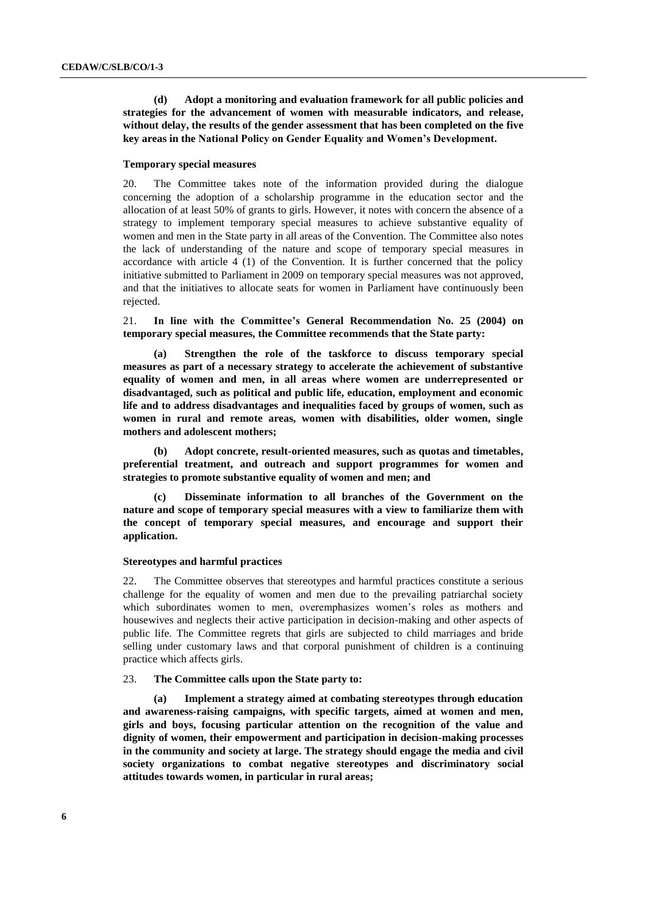**(d) Adopt a monitoring and evaluation framework for all public policies and strategies for the advancement of women with measurable indicators, and release, without delay, the results of the gender assessment that has been completed on the five key areas in the National Policy on Gender Equality and Women's Development.**

#### **Temporary special measures**

20. The Committee takes note of the information provided during the dialogue concerning the adoption of a scholarship programme in the education sector and the allocation of at least 50% of grants to girls. However, it notes with concern the absence of a strategy to implement temporary special measures to achieve substantive equality of women and men in the State party in all areas of the Convention. The Committee also notes the lack of understanding of the nature and scope of temporary special measures in accordance with article 4 (1) of the Convention. It is further concerned that the policy initiative submitted to Parliament in 2009 on temporary special measures was not approved, and that the initiatives to allocate seats for women in Parliament have continuously been rejected.

21. **In line with the Committee's General Recommendation No. 25 (2004) on temporary special measures, the Committee recommends that the State party:**

**(a) Strengthen the role of the taskforce to discuss temporary special measures as part of a necessary strategy to accelerate the achievement of substantive equality of women and men, in all areas where women are underrepresented or disadvantaged, such as political and public life, education, employment and economic life and to address disadvantages and inequalities faced by groups of women, such as women in rural and remote areas, women with disabilities, older women, single mothers and adolescent mothers;**

**(b) Adopt concrete, result-oriented measures, such as quotas and timetables, preferential treatment, and outreach and support programmes for women and strategies to promote substantive equality of women and men; and**

**(c) Disseminate information to all branches of the Government on the nature and scope of temporary special measures with a view to familiarize them with the concept of temporary special measures, and encourage and support their application.**

#### **Stereotypes and harmful practices**

22. The Committee observes that stereotypes and harmful practices constitute a serious challenge for the equality of women and men due to the prevailing patriarchal society which subordinates women to men, overemphasizes women's roles as mothers and housewives and neglects their active participation in decision-making and other aspects of public life. The Committee regrets that girls are subjected to child marriages and bride selling under customary laws and that corporal punishment of children is a continuing practice which affects girls.

#### 23. **The Committee calls upon the State party to:**

**(a) Implement a strategy aimed at combating stereotypes through education and awareness-raising campaigns, with specific targets, aimed at women and men, girls and boys, focusing particular attention on the recognition of the value and dignity of women, their empowerment and participation in decision-making processes in the community and society at large. The strategy should engage the media and civil society organizations to combat negative stereotypes and discriminatory social attitudes towards women, in particular in rural areas;**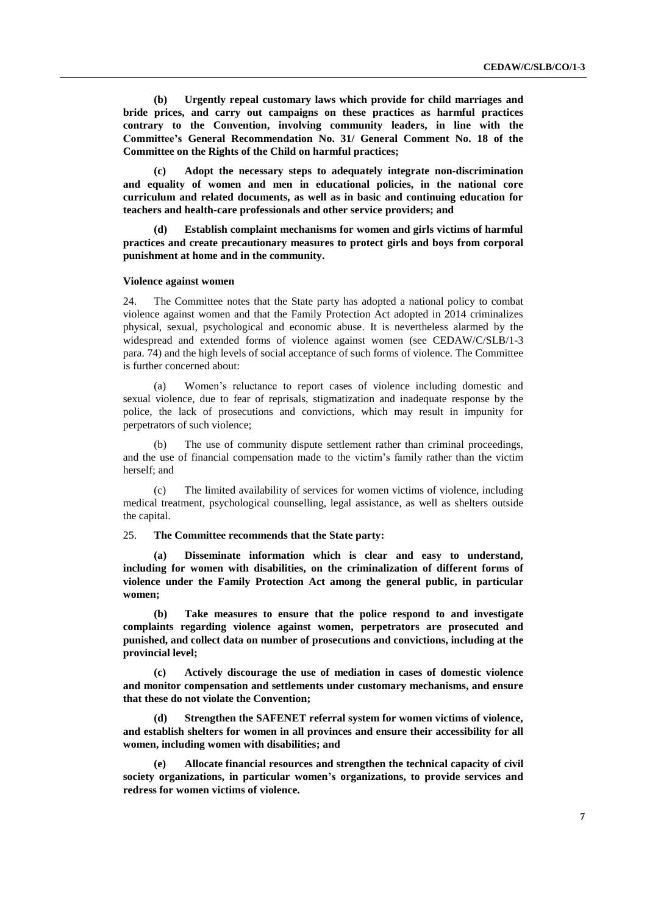**(b) Urgently repeal customary laws which provide for child marriages and bride prices, and carry out campaigns on these practices as harmful practices contrary to the Convention, involving community leaders, in line with the Committee's General Recommendation No. 31/ General Comment No. 18 of the Committee on the Rights of the Child on harmful practices;**

**(c) Adopt the necessary steps to adequately integrate non-discrimination and equality of women and men in educational policies, in the national core curriculum and related documents, as well as in basic and continuing education for teachers and health-care professionals and other service providers; and**

**(d) Establish complaint mechanisms for women and girls victims of harmful practices and create precautionary measures to protect girls and boys from corporal punishment at home and in the community.**

### **Violence against women**

24. The Committee notes that the State party has adopted a national policy to combat violence against women and that the Family Protection Act adopted in 2014 criminalizes physical, sexual, psychological and economic abuse. It is nevertheless alarmed by the widespread and extended forms of violence against women (see CEDAW/C/SLB/1-3 para. 74) and the high levels of social acceptance of such forms of violence. The Committee is further concerned about:

(a) Women's reluctance to report cases of violence including domestic and sexual violence, due to fear of reprisals, stigmatization and inadequate response by the police, the lack of prosecutions and convictions, which may result in impunity for perpetrators of such violence;

(b) The use of community dispute settlement rather than criminal proceedings, and the use of financial compensation made to the victim's family rather than the victim herself; and

(c) The limited availability of services for women victims of violence, including medical treatment, psychological counselling, legal assistance, as well as shelters outside the capital.

25. **The Committee recommends that the State party:**

**(a) Disseminate information which is clear and easy to understand, including for women with disabilities, on the criminalization of different forms of violence under the Family Protection Act among the general public, in particular women;**

**(b) Take measures to ensure that the police respond to and investigate complaints regarding violence against women, perpetrators are prosecuted and punished, and collect data on number of prosecutions and convictions, including at the provincial level;**

**(c) Actively discourage the use of mediation in cases of domestic violence and monitor compensation and settlements under customary mechanisms, and ensure that these do not violate the Convention;** 

**(d) Strengthen the SAFENET referral system for women victims of violence, and establish shelters for women in all provinces and ensure their accessibility for all women, including women with disabilities; and**

**(e) Allocate financial resources and strengthen the technical capacity of civil society organizations, in particular women's organizations, to provide services and redress for women victims of violence.**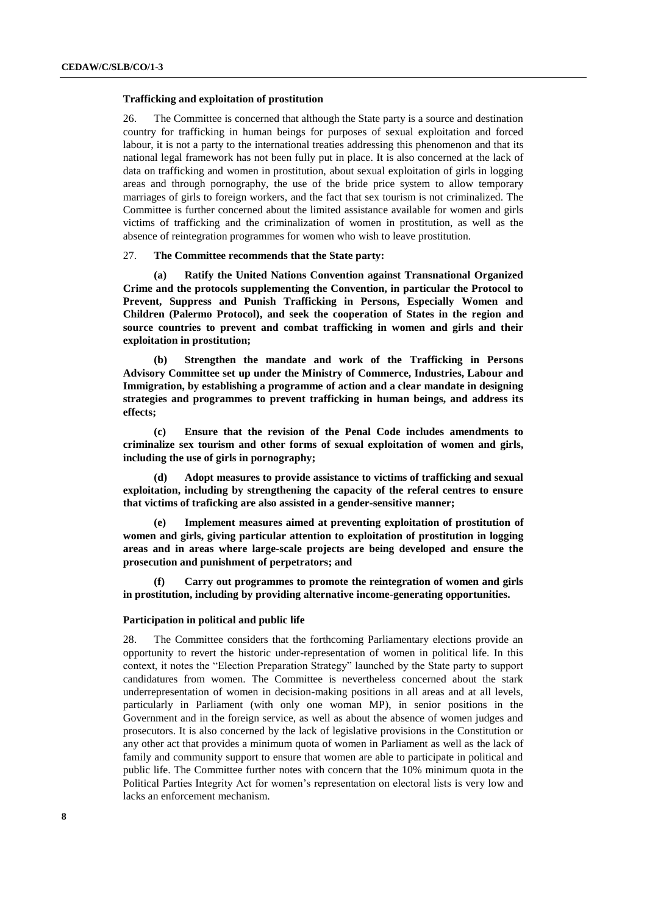#### **Trafficking and exploitation of prostitution**

26. The Committee is concerned that although the State party is a source and destination country for trafficking in human beings for purposes of sexual exploitation and forced labour, it is not a party to the international treaties addressing this phenomenon and that its national legal framework has not been fully put in place. It is also concerned at the lack of data on trafficking and women in prostitution, about sexual exploitation of girls in logging areas and through pornography, the use of the bride price system to allow temporary marriages of girls to foreign workers, and the fact that sex tourism is not criminalized. The Committee is further concerned about the limited assistance available for women and girls victims of trafficking and the criminalization of women in prostitution, as well as the absence of reintegration programmes for women who wish to leave prostitution.

#### 27. **The Committee recommends that the State party:**

**(a) Ratify the United Nations Convention against Transnational Organized Crime and the protocols supplementing the Convention, in particular the Protocol to Prevent, Suppress and Punish Trafficking in Persons, Especially Women and Children (Palermo Protocol), and seek the cooperation of States in the region and source countries to prevent and combat trafficking in women and girls and their exploitation in prostitution;**

**(b) Strengthen the mandate and work of the Trafficking in Persons Advisory Committee set up under the Ministry of Commerce, Industries, Labour and Immigration, by establishing a programme of action and a clear mandate in designing strategies and programmes to prevent trafficking in human beings, and address its effects;**

**(c) Ensure that the revision of the Penal Code includes amendments to criminalize sex tourism and other forms of sexual exploitation of women and girls, including the use of girls in pornography;**

**(d) Adopt measures to provide assistance to victims of trafficking and sexual exploitation, including by strengthening the capacity of the referal centres to ensure that victims of traficking are also assisted in a gender-sensitive manner;**

**(e) Implement measures aimed at preventing exploitation of prostitution of women and girls, giving particular attention to exploitation of prostitution in logging areas and in areas where large-scale projects are being developed and ensure the prosecution and punishment of perpetrators; and** 

**(f) Carry out programmes to promote the reintegration of women and girls in prostitution, including by providing alternative income-generating opportunities.**

#### **Participation in political and public life**

28. The Committee considers that the forthcoming Parliamentary elections provide an opportunity to revert the historic under-representation of women in political life. In this context, it notes the "Election Preparation Strategy" launched by the State party to support candidatures from women. The Committee is nevertheless concerned about the stark underrepresentation of women in decision-making positions in all areas and at all levels, particularly in Parliament (with only one woman MP), in senior positions in the Government and in the foreign service, as well as about the absence of women judges and prosecutors. It is also concerned by the lack of legislative provisions in the Constitution or any other act that provides a minimum quota of women in Parliament as well as the lack of family and community support to ensure that women are able to participate in political and public life. The Committee further notes with concern that the 10% minimum quota in the Political Parties Integrity Act for women's representation on electoral lists is very low and lacks an enforcement mechanism.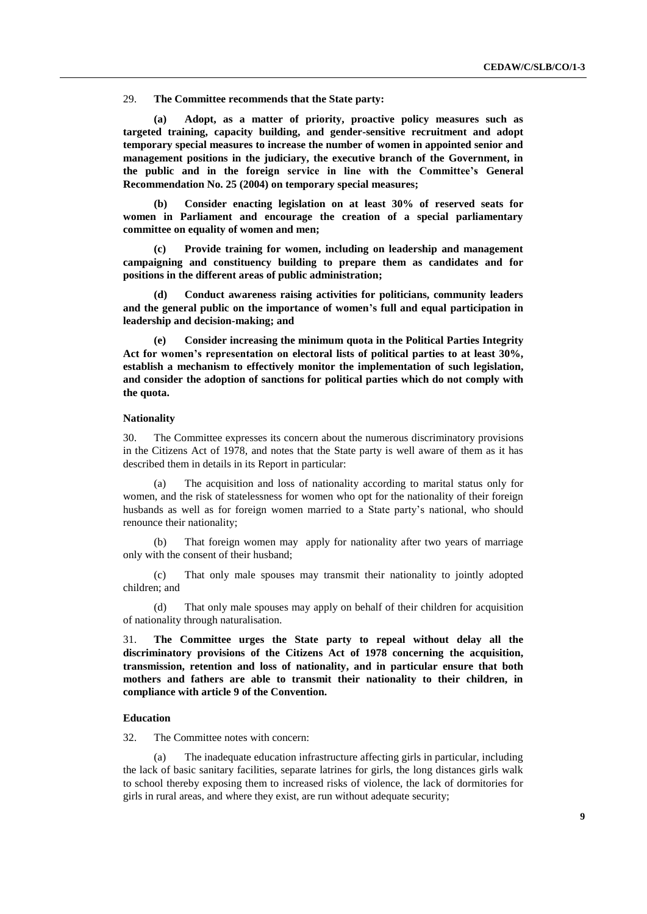29. **The Committee recommends that the State party:**

**(a) Adopt, as a matter of priority, proactive policy measures such as targeted training, capacity building, and gender-sensitive recruitment and adopt temporary special measures to increase the number of women in appointed senior and management positions in the judiciary, the executive branch of the Government, in the public and in the foreign service in line with the Committee's General Recommendation No. 25 (2004) on temporary special measures;** 

**(b) Consider enacting legislation on at least 30% of reserved seats for women in Parliament and encourage the creation of a special parliamentary committee on equality of women and men;** 

**(c) Provide training for women, including on leadership and management campaigning and constituency building to prepare them as candidates and for positions in the different areas of public administration;**

**(d) Conduct awareness raising activities for politicians, community leaders and the general public on the importance of women's full and equal participation in leadership and decision-making; and** 

**(e) Consider increasing the minimum quota in the Political Parties Integrity Act for women's representation on electoral lists of political parties to at least 30%, establish a mechanism to effectively monitor the implementation of such legislation, and consider the adoption of sanctions for political parties which do not comply with the quota.**

#### **Nationality**

30. The Committee expresses its concern about the numerous discriminatory provisions in the Citizens Act of 1978, and notes that the State party is well aware of them as it has described them in details in its Report in particular:

(a) The acquisition and loss of nationality according to marital status only for women, and the risk of statelessness for women who opt for the nationality of their foreign husbands as well as for foreign women married to a State party's national, who should renounce their nationality;

(b) That foreign women may apply for nationality after two years of marriage only with the consent of their husband;

(c) That only male spouses may transmit their nationality to jointly adopted children; and

(d) That only male spouses may apply on behalf of their children for acquisition of nationality through naturalisation.

31. **The Committee urges the State party to repeal without delay all the discriminatory provisions of the Citizens Act of 1978 concerning the acquisition, transmission, retention and loss of nationality, and in particular ensure that both mothers and fathers are able to transmit their nationality to their children, in compliance with article 9 of the Convention.** 

#### **Education**

32. The Committee notes with concern:

(a) The inadequate education infrastructure affecting girls in particular, including the lack of basic sanitary facilities, separate latrines for girls, the long distances girls walk to school thereby exposing them to increased risks of violence, the lack of dormitories for girls in rural areas, and where they exist, are run without adequate security;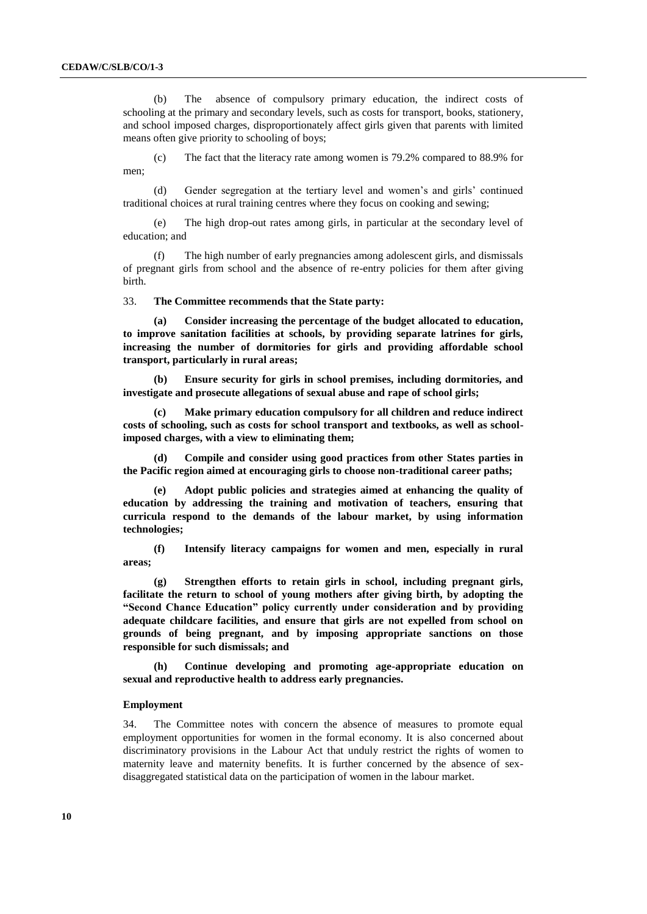(b) The absence of compulsory primary education, the indirect costs of schooling at the primary and secondary levels, such as costs for transport, books, stationery, and school imposed charges, disproportionately affect girls given that parents with limited means often give priority to schooling of boys;

(c) The fact that the literacy rate among women is 79.2% compared to 88.9% for men;

(d) Gender segregation at the tertiary level and women's and girls' continued traditional choices at rural training centres where they focus on cooking and sewing;

(e) The high drop-out rates among girls, in particular at the secondary level of education; and

(f) The high number of early pregnancies among adolescent girls, and dismissals of pregnant girls from school and the absence of re-entry policies for them after giving birth.

#### 33. **The Committee recommends that the State party:**

**(a) Consider increasing the percentage of the budget allocated to education, to improve sanitation facilities at schools, by providing separate latrines for girls, increasing the number of dormitories for girls and providing affordable school transport, particularly in rural areas;**

**(b) Ensure security for girls in school premises, including dormitories, and investigate and prosecute allegations of sexual abuse and rape of school girls;**

**(c) Make primary education compulsory for all children and reduce indirect costs of schooling, such as costs for school transport and textbooks, as well as schoolimposed charges, with a view to eliminating them;**

**(d) Compile and consider using good practices from other States parties in the Pacific region aimed at encouraging girls to choose non-traditional career paths;**

**(e) Adopt public policies and strategies aimed at enhancing the quality of education by addressing the training and motivation of teachers, ensuring that curricula respond to the demands of the labour market, by using information technologies;** 

**(f) Intensify literacy campaigns for women and men, especially in rural areas;**

**(g) Strengthen efforts to retain girls in school, including pregnant girls, facilitate the return to school of young mothers after giving birth, by adopting the "Second Chance Education" policy currently under consideration and by providing adequate childcare facilities, and ensure that girls are not expelled from school on grounds of being pregnant, and by imposing appropriate sanctions on those responsible for such dismissals; and**

**(h) Continue developing and promoting age-appropriate education on sexual and reproductive health to address early pregnancies.** 

#### **Employment**

34. The Committee notes with concern the absence of measures to promote equal employment opportunities for women in the formal economy. It is also concerned about discriminatory provisions in the Labour Act that unduly restrict the rights of women to maternity leave and maternity benefits. It is further concerned by the absence of sexdisaggregated statistical data on the participation of women in the labour market.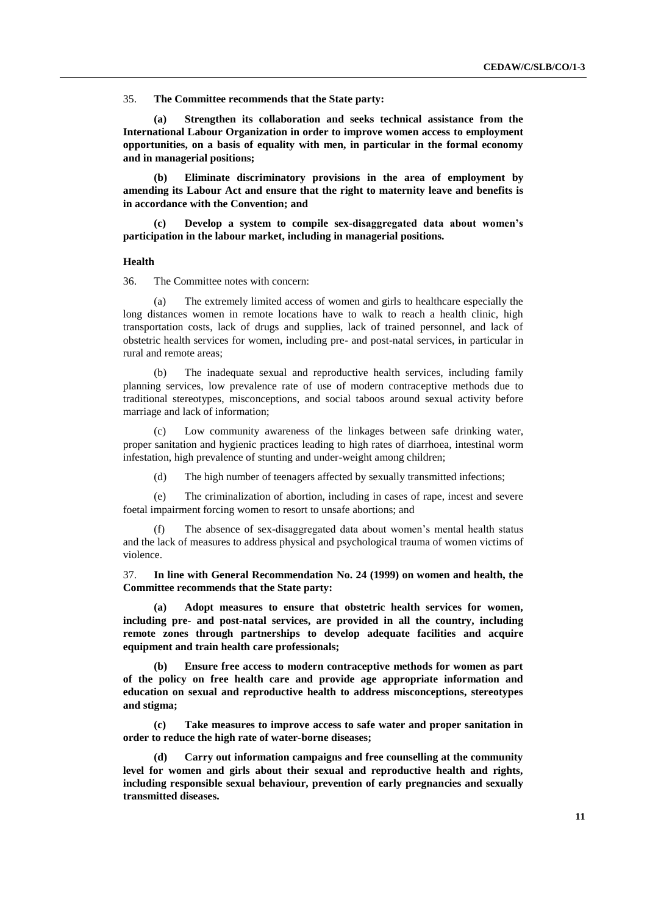35. **The Committee recommends that the State party:**

**(a) Strengthen its collaboration and seeks technical assistance from the International Labour Organization in order to improve women access to employment opportunities, on a basis of equality with men, in particular in the formal economy and in managerial positions;**

**(b) Eliminate discriminatory provisions in the area of employment by amending its Labour Act and ensure that the right to maternity leave and benefits is in accordance with the Convention; and**

**(c) Develop a system to compile sex-disaggregated data about women's participation in the labour market, including in managerial positions.** 

#### **Health**

36. The Committee notes with concern:

(a) The extremely limited access of women and girls to healthcare especially the long distances women in remote locations have to walk to reach a health clinic, high transportation costs, lack of drugs and supplies, lack of trained personnel, and lack of obstetric health services for women, including pre- and post-natal services, in particular in rural and remote areas;

(b) The inadequate sexual and reproductive health services, including family planning services, low prevalence rate of use of modern contraceptive methods due to traditional stereotypes, misconceptions, and social taboos around sexual activity before marriage and lack of information;

(c) Low community awareness of the linkages between safe drinking water, proper sanitation and hygienic practices leading to high rates of diarrhoea, intestinal worm infestation, high prevalence of stunting and under-weight among children;

(d) The high number of teenagers affected by sexually transmitted infections;

(e) The criminalization of abortion, including in cases of rape, incest and severe foetal impairment forcing women to resort to unsafe abortions; and

(f) The absence of sex-disaggregated data about women's mental health status and the lack of measures to address physical and psychological trauma of women victims of violence.

37. **In line with General Recommendation No. 24 (1999) on women and health, the Committee recommends that the State party:**

**(a) Adopt measures to ensure that obstetric health services for women, including pre- and post-natal services, are provided in all the country, including remote zones through partnerships to develop adequate facilities and acquire equipment and train health care professionals;** 

**(b) Ensure free access to modern contraceptive methods for women as part of the policy on free health care and provide age appropriate information and education on sexual and reproductive health to address misconceptions, stereotypes and stigma;**

**(c) Take measures to improve access to safe water and proper sanitation in order to reduce the high rate of water-borne diseases;**

**(d) Carry out information campaigns and free counselling at the community level for women and girls about their sexual and reproductive health and rights, including responsible sexual behaviour, prevention of early pregnancies and sexually transmitted diseases.**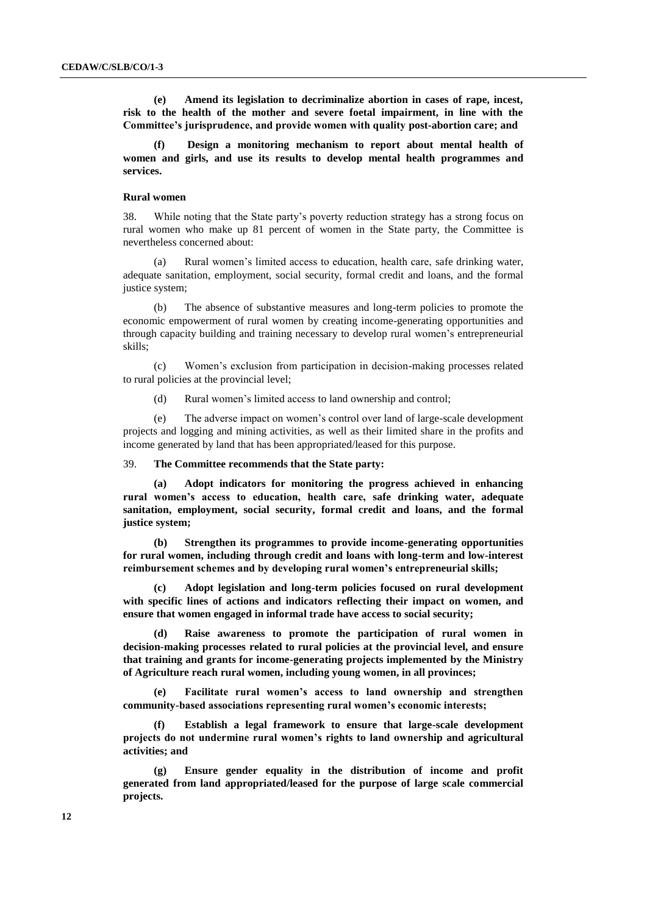**(e) Amend its legislation to decriminalize abortion in cases of rape, incest, risk to the health of the mother and severe foetal impairment, in line with the Committee's jurisprudence, and provide women with quality post-abortion care; and**

**(f) Design a monitoring mechanism to report about mental health of women and girls, and use its results to develop mental health programmes and services.** 

#### **Rural women**

38. While noting that the State party's poverty reduction strategy has a strong focus on rural women who make up 81 percent of women in the State party, the Committee is nevertheless concerned about:

Rural women's limited access to education, health care, safe drinking water, adequate sanitation, employment, social security, formal credit and loans, and the formal justice system;

(b) The absence of substantive measures and long-term policies to promote the economic empowerment of rural women by creating income-generating opportunities and through capacity building and training necessary to develop rural women's entrepreneurial skills;

(c) Women's exclusion from participation in decision-making processes related to rural policies at the provincial level;

(d) Rural women's limited access to land ownership and control;

(e) The adverse impact on women's control over land of large-scale development projects and logging and mining activities, as well as their limited share in the profits and income generated by land that has been appropriated/leased for this purpose.

39. **The Committee recommends that the State party:**

**(a) Adopt indicators for monitoring the progress achieved in enhancing rural women's access to education, health care, safe drinking water, adequate sanitation, employment, social security, formal credit and loans, and the formal justice system;**

**(b) Strengthen its programmes to provide income-generating opportunities for rural women, including through credit and loans with long-term and low-interest reimbursement schemes and by developing rural women's entrepreneurial skills;** 

**(c) Adopt legislation and long-term policies focused on rural development with specific lines of actions and indicators reflecting their impact on women, and ensure that women engaged in informal trade have access to social security;**

**(d) Raise awareness to promote the participation of rural women in decision-making processes related to rural policies at the provincial level, and ensure that training and grants for income-generating projects implemented by the Ministry of Agriculture reach rural women, including young women, in all provinces;**

**(e) Facilitate rural women's access to land ownership and strengthen community-based associations representing rural women's economic interests;** 

**(f) Establish a legal framework to ensure that large-scale development projects do not undermine rural women's rights to land ownership and agricultural activities; and**

**(g) Ensure gender equality in the distribution of income and profit generated from land appropriated/leased for the purpose of large scale commercial projects.**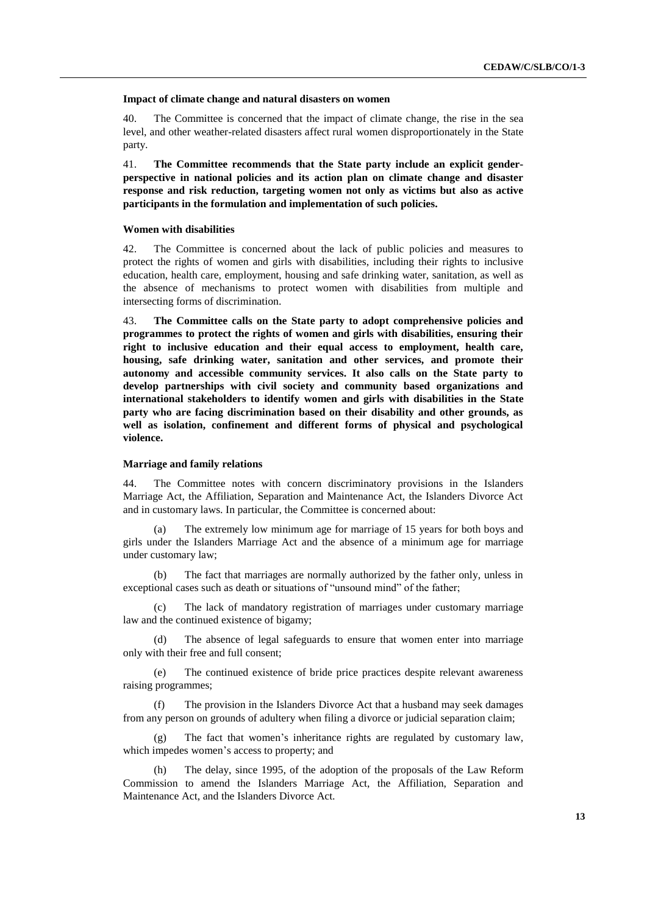#### **Impact of climate change and natural disasters on women**

40. The Committee is concerned that the impact of climate change, the rise in the sea level, and other weather-related disasters affect rural women disproportionately in the State party.

41. **The Committee recommends that the State party include an explicit genderperspective in national policies and its action plan on climate change and disaster response and risk reduction, targeting women not only as victims but also as active participants in the formulation and implementation of such policies.**

#### **Women with disabilities**

42. The Committee is concerned about the lack of public policies and measures to protect the rights of women and girls with disabilities, including their rights to inclusive education, health care, employment, housing and safe drinking water, sanitation, as well as the absence of mechanisms to protect women with disabilities from multiple and intersecting forms of discrimination.

43. **The Committee calls on the State party to adopt comprehensive policies and programmes to protect the rights of women and girls with disabilities, ensuring their right to inclusive education and their equal access to employment, health care, housing, safe drinking water, sanitation and other services, and promote their autonomy and accessible community services. It also calls on the State party to develop partnerships with civil society and community based organizations and international stakeholders to identify women and girls with disabilities in the State party who are facing discrimination based on their disability and other grounds, as well as isolation, confinement and different forms of physical and psychological violence.** 

#### **Marriage and family relations**

44. The Committee notes with concern discriminatory provisions in the Islanders Marriage Act, the Affiliation, Separation and Maintenance Act, the Islanders Divorce Act and in customary laws. In particular, the Committee is concerned about:

(a) The extremely low minimum age for marriage of 15 years for both boys and girls under the Islanders Marriage Act and the absence of a minimum age for marriage under customary law;

(b) The fact that marriages are normally authorized by the father only, unless in exceptional cases such as death or situations of "unsound mind" of the father;

(c) The lack of mandatory registration of marriages under customary marriage law and the continued existence of bigamy;

(d) The absence of legal safeguards to ensure that women enter into marriage only with their free and full consent;

(e) The continued existence of bride price practices despite relevant awareness raising programmes;

(f) The provision in the Islanders Divorce Act that a husband may seek damages from any person on grounds of adultery when filing a divorce or judicial separation claim;

(g) The fact that women's inheritance rights are regulated by customary law, which impedes women's access to property; and

(h) The delay, since 1995, of the adoption of the proposals of the Law Reform Commission to amend the Islanders Marriage Act, the Affiliation, Separation and Maintenance Act, and the Islanders Divorce Act.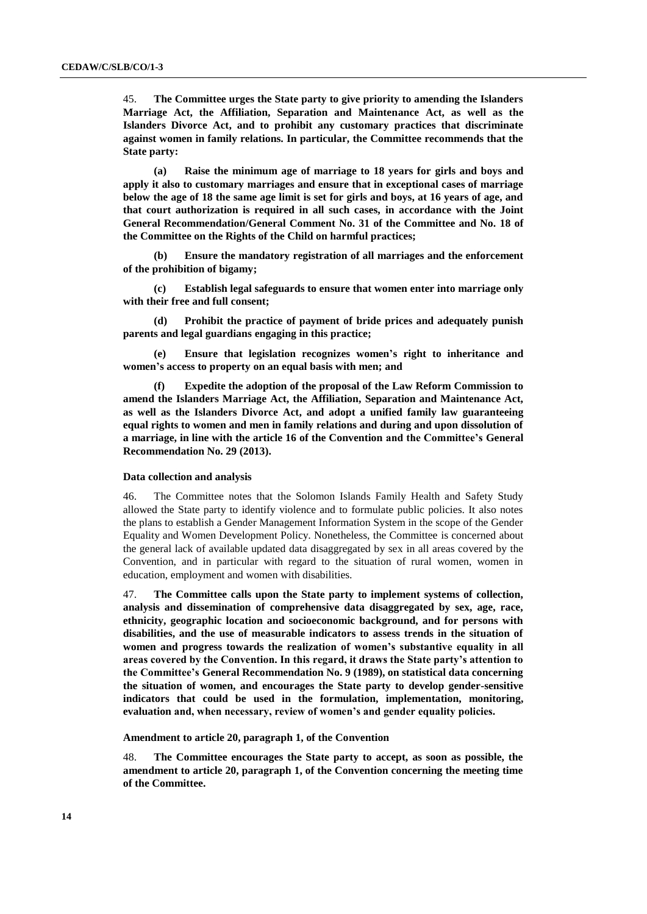45. **The Committee urges the State party to give priority to amending the Islanders Marriage Act, the Affiliation, Separation and Maintenance Act, as well as the Islanders Divorce Act, and to prohibit any customary practices that discriminate against women in family relations. In particular, the Committee recommends that the State party:**

**(a) Raise the minimum age of marriage to 18 years for girls and boys and apply it also to customary marriages and ensure that in exceptional cases of marriage below the age of 18 the same age limit is set for girls and boys, at 16 years of age, and that court authorization is required in all such cases, in accordance with the Joint General Recommendation/General Comment No. 31 of the Committee and No. 18 of the Committee on the Rights of the Child on harmful practices;**

**(b) Ensure the mandatory registration of all marriages and the enforcement of the prohibition of bigamy;**

**(c) Establish legal safeguards to ensure that women enter into marriage only with their free and full consent;**

**(d) Prohibit the practice of payment of bride prices and adequately punish parents and legal guardians engaging in this practice;**

**(e) Ensure that legislation recognizes women's right to inheritance and women's access to property on an equal basis with men; and**

**(f) Expedite the adoption of the proposal of the Law Reform Commission to amend the Islanders Marriage Act, the Affiliation, Separation and Maintenance Act, as well as the Islanders Divorce Act, and adopt a unified family law guaranteeing equal rights to women and men in family relations and during and upon dissolution of a marriage, in line with the article 16 of the Convention and the Committee's General Recommendation No. 29 (2013).**

#### **Data collection and analysis**

46. The Committee notes that the Solomon Islands Family Health and Safety Study allowed the State party to identify violence and to formulate public policies. It also notes the plans to establish a Gender Management Information System in the scope of the Gender Equality and Women Development Policy. Nonetheless, the Committee is concerned about the general lack of available updated data disaggregated by sex in all areas covered by the Convention, and in particular with regard to the situation of rural women, women in education, employment and women with disabilities.

47. **The Committee calls upon the State party to implement systems of collection, analysis and dissemination of comprehensive data disaggregated by sex, age, race, ethnicity, geographic location and socioeconomic background, and for persons with disabilities, and the use of measurable indicators to assess trends in the situation of women and progress towards the realization of women's substantive equality in all areas covered by the Convention. In this regard, it draws the State party's attention to the Committee's General Recommendation No. 9 (1989), on statistical data concerning the situation of women, and encourages the State party to develop gender-sensitive indicators that could be used in the formulation, implementation, monitoring, evaluation and, when necessary, review of women's and gender equality policies.**

**Amendment to article 20, paragraph 1, of the Convention**

48. **The Committee encourages the State party to accept, as soon as possible, the amendment to article 20, paragraph 1, of the Convention concerning the meeting time of the Committee.**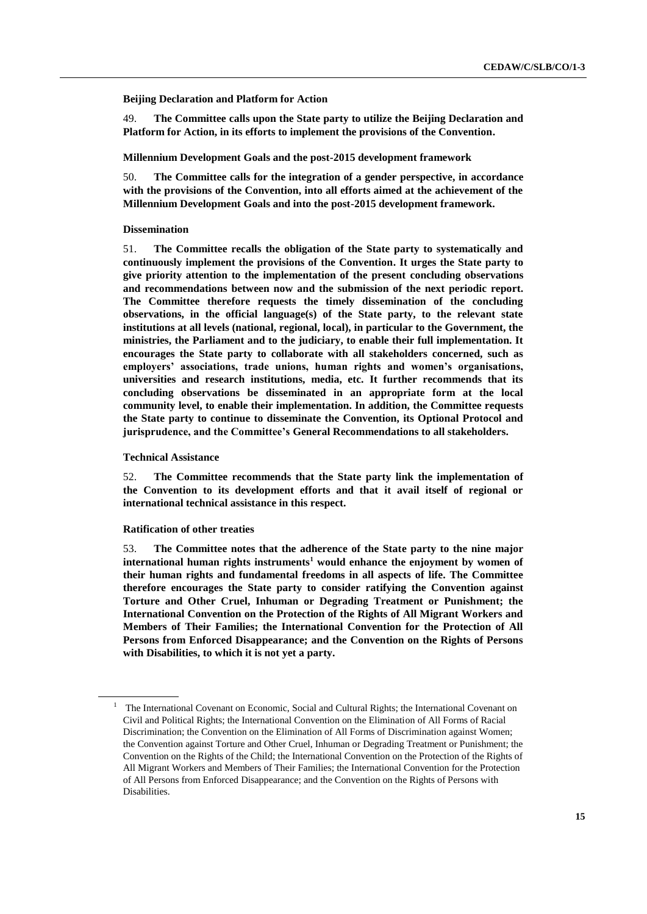**Beijing Declaration and Platform for Action** 

49. **The Committee calls upon the State party to utilize the Beijing Declaration and Platform for Action, in its efforts to implement the provisions of the Convention.**

**Millennium Development Goals and the post-2015 development framework** 

50. **The Committee calls for the integration of a gender perspective, in accordance with the provisions of the Convention, into all efforts aimed at the achievement of the Millennium Development Goals and into the post-2015 development framework.**

#### **Dissemination**

51. **The Committee recalls the obligation of the State party to systematically and continuously implement the provisions of the Convention. It urges the State party to give priority attention to the implementation of the present concluding observations and recommendations between now and the submission of the next periodic report. The Committee therefore requests the timely dissemination of the concluding observations, in the official language(s) of the State party, to the relevant state institutions at all levels (national, regional, local), in particular to the Government, the ministries, the Parliament and to the judiciary, to enable their full implementation. It encourages the State party to collaborate with all stakeholders concerned, such as employers' associations, trade unions, human rights and women's organisations, universities and research institutions, media, etc. It further recommends that its concluding observations be disseminated in an appropriate form at the local community level, to enable their implementation. In addition, the Committee requests the State party to continue to disseminate the Convention, its Optional Protocol and jurisprudence, and the Committee's General Recommendations to all stakeholders.**

**Technical Assistance**

52. **The Committee recommends that the State party link the implementation of the Convention to its development efforts and that it avail itself of regional or international technical assistance in this respect.**

#### **Ratification of other treaties**

53. **The Committee notes that the adherence of the State party to the nine major international human rights instruments<sup>1</sup> would enhance the enjoyment by women of their human rights and fundamental freedoms in all aspects of life. The Committee therefore encourages the State party to consider ratifying the Convention against Torture and Other Cruel, Inhuman or Degrading Treatment or Punishment; the International Convention on the Protection of the Rights of All Migrant Workers and Members of Their Families; the International Convention for the Protection of All Persons from Enforced Disappearance; and the Convention on the Rights of Persons with Disabilities, to which it is not yet a party.**

 $1$  The International Covenant on Economic, Social and Cultural Rights; the International Covenant on Civil and Political Rights; the International Convention on the Elimination of All Forms of Racial Discrimination; the Convention on the Elimination of All Forms of Discrimination against Women; the Convention against Torture and Other Cruel, Inhuman or Degrading Treatment or Punishment; the Convention on the Rights of the Child; the International Convention on the Protection of the Rights of All Migrant Workers and Members of Their Families; the International Convention for the Protection of All Persons from Enforced Disappearance; and the Convention on the Rights of Persons with Disabilities.